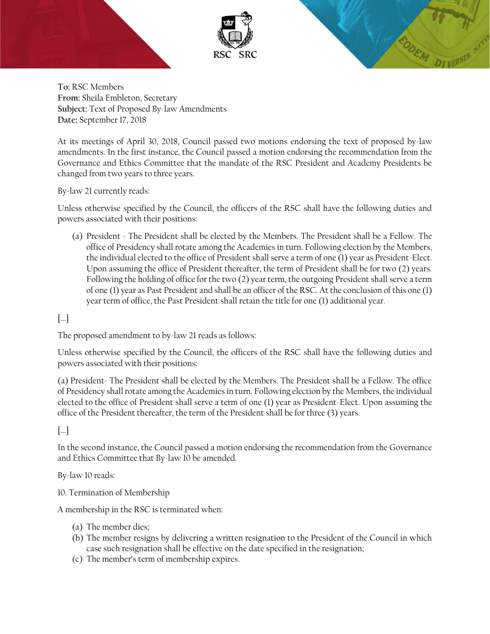



**To:** RSC Members **From:** Sheila Embleton, Secretary **Subject:** Text of Proposed By-law Amendments **Date:** September 17, 2018

At its meetings of April 30, 2018, Council passed two motions endorsing the text of proposed by-law amendments. In the first instance, the Council passed a motion endorsing the recommendation from the Governance and Ethics Committee that the mandate of the RSC President and Academy Presidents be changed from two years to three years.

By-law 21 currently reads:

Unless otherwise specified by the Council, the officers of the RSC shall have the following duties and powers associated with their positions:

(a) President - The President shall be elected by the Members. The President shall be a Fellow. The office of Presidency shall rotate among the Academies in turn. Following election by the Members, the individual elected to the office of President shall serve a term of one (1) year as President-Elect. Upon assuming the office of President thereafter, the term of President shall be for two (2) years. Following the holding of office for the two (2) year term, the outgoing President shall serve a term of one (1) year as Past President and shall be an officer of the RSC. At the conclusion of this one (1) year term of office, the Past President shall retain the title for one (1) additional year.

[…]

The proposed amendment to by-law 21 reads as follows:

Unless otherwise specified by the Council, the officers of the RSC shall have the following duties and powers associated with their positions:

(a) President- The President shall be elected by the Members. The President shall be a Fellow. The office of Presidency shall rotate among the Academies in turn. Following election by the Members, the individual elected to the office of President shall serve a term of one (1) year as President-Elect. Upon assuming the office of the President thereafter, the term of the President shall be for three (3) years.

[…]

In the second instance, the Council passed a motion endorsing the recommendation from the Governance and Ethics Committee that By-law 10 be amended.

By-law 10 reads:

10. Termination of Membership

A membership in the RSC is terminated when:

- (a) The member dies;
- (b) The member resigns by delivering a written resignation to the President of the Council in which case such resignation shall be effective on the date specified in the resignation;
- (c) The member's term of membership expires.